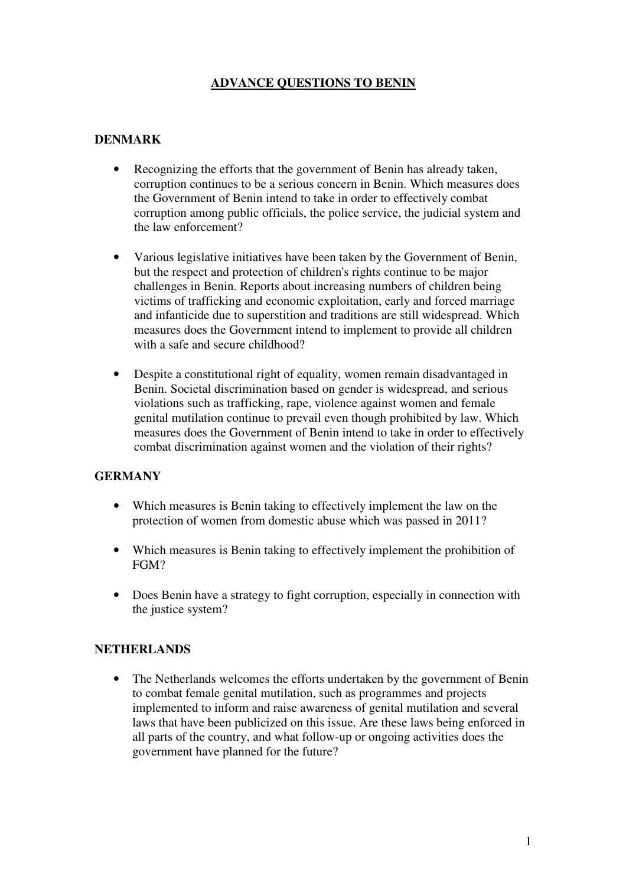# **ADVANCE QUESTIONS TO BENIN**

### **DENMARK**

- Recognizing the efforts that the government of Benin has already taken, corruption continues to be a serious concern in Benin. Which measures does the Government of Benin intend to take in order to effectively combat corruption among public officials, the police service, the judicial system and the law enforcement?
- Various legislative initiatives have been taken by the Government of Benin, but the respect and protection of children's rights continue to be major challenges in Benin. Reports about increasing numbers of children being victims of trafficking and economic exploitation, early and forced marriage and infanticide due to superstition and traditions are still widespread. Which measures does the Government intend to implement to provide all children with a safe and secure childhood?
- Despite a constitutional right of equality, women remain disadvantaged in Benin. Societal discrimination based on gender is widespread, and serious violations such as trafficking, rape, violence against women and female genital mutilation continue to prevail even though prohibited by law. Which measures does the Government of Benin intend to take in order to effectively combat discrimination against women and the violation of their rights?

# **GERMANY**

- Which measures is Benin taking to effectively implement the law on the protection of women from domestic abuse which was passed in 2011?
- Which measures is Benin taking to effectively implement the prohibition of FGM?
- Does Benin have a strategy to fight corruption, especially in connection with the justice system?

### **NETHERLANDS**

• The Netherlands welcomes the efforts undertaken by the government of Benin to combat female genital mutilation, such as programmes and projects implemented to inform and raise awareness of genital mutilation and several laws that have been publicized on this issue. Are these laws being enforced in all parts of the country, and what follow-up or ongoing activities does the government have planned for the future?